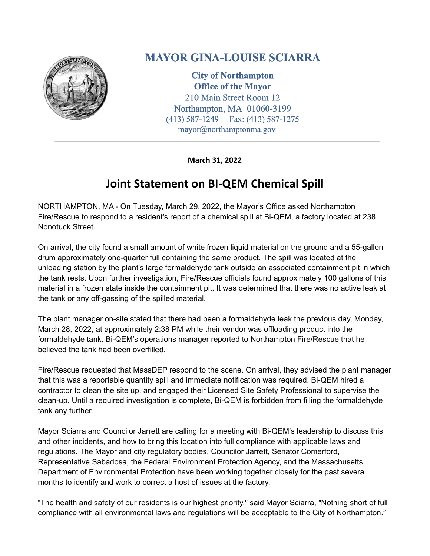

## **MAYOR GINA-LOUISE SCIARRA**

**City of Northampton Office of the Mayor** 210 Main Street Room 12 Northampton, MA 01060-3199  $(413) 587 - 1249$ Fax: (413) 587-1275 mayor@northamptonma.gov

**March 31, 2022**

## **Joint Statement on BI-QEM Chemical Spill**

NORTHAMPTON, MA - On Tuesday, March 29, 2022, the Mayor's Office asked Northampton Fire/Rescue to respond to a resident's report of a chemical spill at Bi-QEM, a factory located at 238 Nonotuck Street.

On arrival, the city found a small amount of white frozen liquid material on the ground and a 55-gallon drum approximately one-quarter full containing the same product. The spill was located at the unloading station by the plant's large formaldehyde tank outside an associated containment pit in which the tank rests. Upon further investigation, Fire/Rescue officials found approximately 100 gallons of this material in a frozen state inside the containment pit. It was determined that there was no active leak at the tank or any off-gassing of the spilled material.

The plant manager on-site stated that there had been a formaldehyde leak the previous day, Monday, March 28, 2022, at approximately 2:38 PM while their vendor was offloading product into the formaldehyde tank. Bi-QEM's operations manager reported to Northampton Fire/Rescue that he believed the tank had been overfilled.

Fire/Rescue requested that MassDEP respond to the scene. On arrival, they advised the plant manager that this was a reportable quantity spill and immediate notification was required. Bi-QEM hired a contractor to clean the site up, and engaged their Licensed Site Safety Professional to supervise the clean-up. Until a required investigation is complete, Bi-QEM is forbidden from filling the formaldehyde tank any further.

Mayor Sciarra and Councilor Jarrett are calling for a meeting with Bi-QEM's leadership to discuss this and other incidents, and how to bring this location into full compliance with applicable laws and regulations. The Mayor and city regulatory bodies, Councilor Jarrett, Senator Comerford, Representative Sabadosa, the Federal Environment Protection Agency, and the Massachusetts Department of Environmental Protection have been working together closely for the past several months to identify and work to correct a host of issues at the factory.

"The health and safety of our residents is our highest priority," said Mayor Sciarra, "Nothing short of full compliance with all environmental laws and regulations will be acceptable to the City of Northampton."